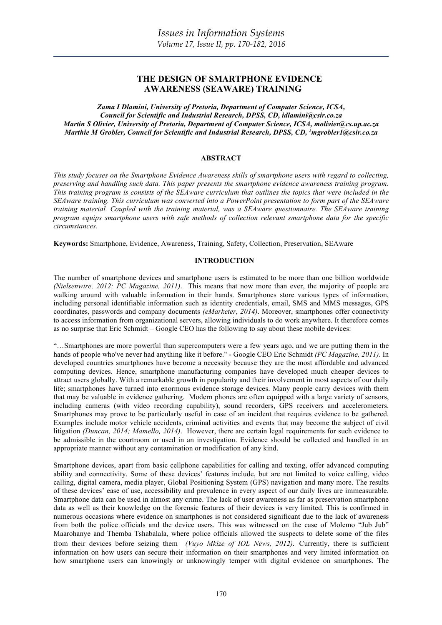# **THE DESIGN OF SMARTPHONE EVIDENCE AWARENESS (SEAWARE) TRAINING**

*Zama I Dlamini, University of Pretoria, Department of Computer Science, ICSA, Council for Scientific and Industrial Research, DPSS, CD, idlamini@csir.co.za Martin S Olivier, University of Pretoria, Department of Computer Science, ICSA, molivier@cs.up.ac.za Marthie M Grobler, Council for Scientific and Industrial Research, DPSS, CD,* <sup>3</sup> *mgrobler1@csir.co.za*

## **ABSTRACT**

*This study focuses on the Smartphone Evidence Awareness skills of smartphone users with regard to collecting, preserving and handling such data. This paper presents the smartphone evidence awareness training program. This training program is consists of the SEAware curriculum that outlines the topics that were included in the SEAware training. This curriculum was converted into a PowerPoint presentation to form part of the SEAware training material. Coupled with the training material, was a SEAware questionnaire. The SEAware training program equips smartphone users with safe methods of collection relevant smartphone data for the specific circumstances.*

**Keywords:** Smartphone, Evidence, Awareness, Training, Safety, Collection, Preservation, SEAware

## **INTRODUCTION**

The number of smartphone devices and smartphone users is estimated to be more than one billion worldwide *(Nielsenwire, 2012; PC Magazine, 2011)*. This means that now more than ever, the majority of people are walking around with valuable information in their hands. Smartphones store various types of information, including personal identifiable information such as identity credentials, email, SMS and MMS messages, GPS coordinates, passwords and company documents *(eMarketer, 2014)*. Moreover, smartphones offer connectivity to access information from organizational servers, allowing individuals to do work anywhere. It therefore comes as no surprise that Eric Schmidt – Google CEO has the following to say about these mobile devices:

"…Smartphones are more powerful than supercomputers were a few years ago, and we are putting them in the hands of people who've never had anything like it before." - Google CEO Eric Schmidt *(PC Magazine, 2011)*. In developed countries smartphones have become a necessity because they are the most affordable and advanced computing devices. Hence, smartphone manufacturing companies have developed much cheaper devices to attract users globally. With a remarkable growth in popularity and their involvement in most aspects of our daily life; smartphones have turned into enormous evidence storage devices. Many people carry devices with them that may be valuable in evidence gathering. Modern phones are often equipped with a large variety of sensors, including cameras (with video recording capability), sound recorders, GPS receivers and accelerometers. Smartphones may prove to be particularly useful in case of an incident that requires evidence to be gathered. Examples include motor vehicle accidents, criminal activities and events that may become the subject of civil litigation *(Duncan, 2014; Mamello, 2014)*. However, there are certain legal requirements for such evidence to be admissible in the courtroom or used in an investigation. Evidence should be collected and handled in an appropriate manner without any contamination or modification of any kind.

Smartphone devices, apart from basic cellphone capabilities for calling and texting, offer advanced computing ability and connectivity. Some of these devices' features include, but are not limited to voice calling, video calling, digital camera, media player, Global Positioning System (GPS) navigation and many more. The results of these devices' ease of use, accessibility and prevalence in every aspect of our daily lives are immeasurable. Smartphone data can be used in almost any crime. The lack of user awareness as far as preservation smartphone data as well as their knowledge on the forensic features of their devices is very limited. This is confirmed in numerous occasions where evidence on smartphones is not considered significant due to the lack of awareness from both the police officials and the device users. This was witnessed on the case of Molemo "Jub Jub" Maarohanye and Themba Tshabalala, where police officials allowed the suspects to delete some of the files from their devices before seizing them *(Vuyo Mkize of IOL News, 2012).* Currently, there is sufficient information on how users can secure their information on their smartphones and very limited information on how smartphone users can knowingly or unknowingly temper with digital evidence on smartphones. The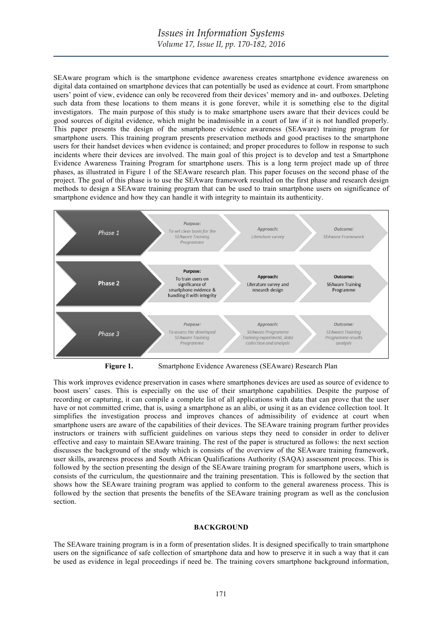SEAware program which is the smartphone evidence awareness creates smartphone evidence awareness on digital data contained on smartphone devices that can potentially be used as evidence at court. From smartphone users' point of view, evidence can only be recovered from their devices' memory and in- and outboxes. Deleting such data from these locations to them means it is gone forever, while it is something else to the digital investigators. The main purpose of this study is to make smartphone users aware that their devices could be good sources of digital evidence, which might be inadmissible in a court of law if it is not handled properly. This paper presents the design of the smartphone evidence awareness (SEAware) training program for smartphone users. This training program presents preservation methods and good practises to the smartphone users for their handset devices when evidence is contained; and proper procedures to follow in response to such incidents where their devices are involved. The main goal of this project is to develop and test a Smartphone Evidence Awareness Training Program for smartphone users. This is a long term project made up of three phases, as illustrated in Figure 1 of the SEAware research plan. This paper focuses on the second phase of the project. The goal of this phase is to use the SEAware framework resulted on the first phase and research design methods to design a SEAware training program that can be used to train smartphone users on significance of smartphone evidence and how they can handle it with integrity to maintain its authenticity.



**Figure 1.** Smartphone Evidence Awareness (SEAware) Research Plan

This work improves evidence preservation in cases where smartphones devices are used as source of evidence to boost users' cases. This is especially on the use of their smartphone capabilities. Despite the purpose of recording or capturing, it can compile a complete list of all applications with data that can prove that the user have or not committed crime, that is, using a smartphone as an alibi, or using it as an evidence collection tool. It simplifies the investigation process and improves chances of admissibility of evidence at court when smartphone users are aware of the capabilities of their devices. The SEAware training program further provides instructors or trainers with sufficient guidelines on various steps they need to consider in order to deliver effective and easy to maintain SEAware training. The rest of the paper is structured as follows: the next section discusses the background of the study which is consists of the overview of the SEAware training framework, user skills, awareness process and South African Qualifications Authority (SAQA) assessment process. This is followed by the section presenting the design of the SEAware training program for smartphone users, which is consists of the curriculum, the questionnaire and the training presentation. This is followed by the section that shows how the SEAware training program was applied to conform to the general awareness process. This is followed by the section that presents the benefits of the SEAware training program as well as the conclusion section.

#### **BACKGROUND**

The SEAware training program is in a form of presentation slides. It is designed specifically to train smartphone users on the significance of safe collection of smartphone data and how to preserve it in such a way that it can be used as evidence in legal proceedings if need be. The training covers smartphone background information,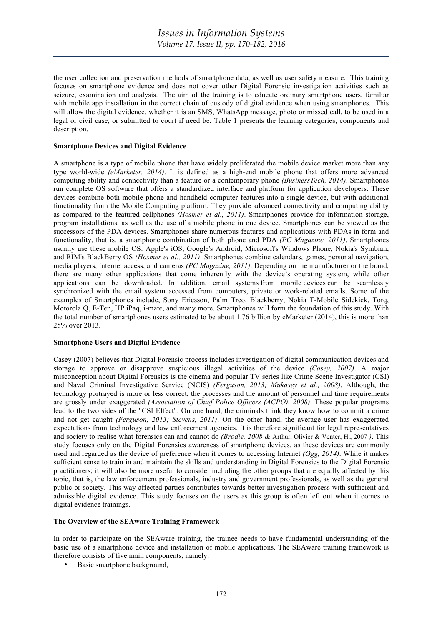the user collection and preservation methods of smartphone data, as well as user safety measure. This training focuses on smartphone evidence and does not cover other Digital Forensic investigation activities such as seizure, examination and analysis. The aim of the training is to educate ordinary smartphone users, familiar with mobile app installation in the correct chain of custody of digital evidence when using smartphones. This will allow the digital evidence, whether it is an SMS, WhatsApp message, photo or missed call, to be used in a legal or civil case, or submitted to court if need be. Table 1 presents the learning categories, components and description.

#### **Smartphone Devices and Digital Evidence**

A smartphone is a type of mobile phone that have widely proliferated the mobile device market more than any type world-wide *(eMarketer, 2014)*. It is defined as a high-end mobile phone that offers more advanced computing ability and connectivity than a feature or a contemporary phone *(BusinessTech, 2014)*. Smartphones run complete OS software that offers a standardized interface and platform for application developers. These devices combine both mobile phone and handheld computer features into a single device, but with additional functionality from the Mobile Computing platform. They provide advanced connectivity and computing ability as compared to the featured cellphones *(Hosmer et al., 2011)*. Smartphones provide for information storage, program installations, as well as the use of a mobile phone in one device. Smartphones can be viewed as the successors of the PDA devices. Smartphones share numerous features and applications with PDAs in form and functionality, that is, a smartphone combination of both phone and PDA *(PC Magazine, 2011)*. Smartphones usually use these mobile OS: Apple's iOS, Google's Android, Microsoft's Windows Phone, Nokia's Symbian, and RIM's BlackBerry OS *(Hosmer et al., 2011)*. Smartphones combine calendars, games, personal navigation, media players, Internet access, and cameras *(PC Magazine, 2011)*. Depending on the manufacturer or the brand, there are many other applications that come inherently with the device's operating system, while other applications can be downloaded. In addition, email systems from mobile devices can be seamlessly synchronized with the email system accessed from computers, private or work-related emails. Some of the examples of Smartphones include, Sony Ericsson, Palm Treo, Blackberry, Nokia T-Mobile Sidekick, Torq, Motorola Q, E-Ten, HP iPaq, i-mate, and many more. Smartphones will form the foundation of this study. With the total number of smartphones users estimated to be about 1.76 billion by eMarketer (2014), this is more than 25% over 2013.

#### **Smartphone Users and Digital Evidence**

Casey (2007) believes that Digital Forensic process includes investigation of digital communication devices and storage to approve or disapprove suspicious illegal activities of the device *(Casey, 2007)*. A major misconception about Digital Forensics is the cinema and popular TV series like Crime Scene Investigator (CSI) and Naval Criminal Investigative Service (NCIS) *(Ferguson, 2013; Mukasey et al., 2008)*. Although, the technology portrayed is more or less correct, the processes and the amount of personnel and time requirements are grossly under exaggerated *(Association of Chief Police Officers (ACPO), 2008)*. These popular programs lead to the two sides of the "CSI Effect". On one hand, the criminals think they know how to commit a crime and not get caught *(Ferguson, 2013; Stevens, 2011)*. On the other hand, the average user has exaggerated expectations from technology and law enforcement agencies. It is therefore significant for legal representatives and society to realise what forensics can and cannot do *(Brodie, 2008 &* Arthur, Olivier & Venter, H., 2007 *)*. This study focuses only on the Digital Forensics awareness of smartphone devices, as these devices are commonly used and regarded as the device of preference when it comes to accessing Internet *(Ogg, 2014)*. While it makes sufficient sense to train in and maintain the skills and understanding in Digital Forensics to the Digital Forensic practitioners; it will also be more useful to consider including the other groups that are equally affected by this topic, that is, the law enforcement professionals, industry and government professionals, as well as the general public or society. This way affected parties contributes towards better investigation process with sufficient and admissible digital evidence. This study focuses on the users as this group is often left out when it comes to digital evidence trainings.

#### **The Overview of the SEAware Training Framework**

In order to participate on the SEAware training, the trainee needs to have fundamental understanding of the basic use of a smartphone device and installation of mobile applications. The SEAware training framework is therefore consists of five main components, namely:

Basic smartphone background,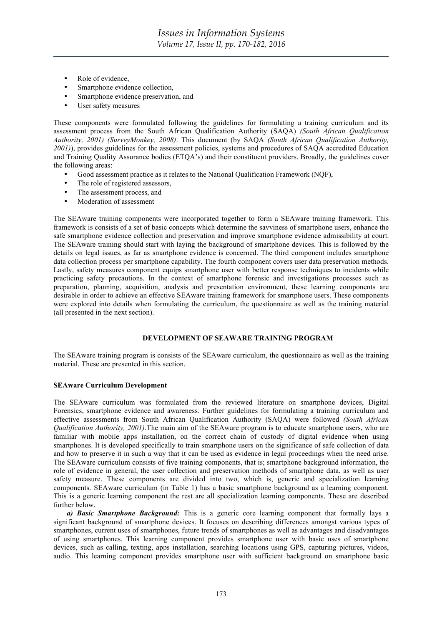- Role of evidence.
- Smartphone evidence collection.
- Smartphone evidence preservation, and
- User safety measures

These components were formulated following the guidelines for formulating a training curriculum and its assessment process from the South African Qualification Authority (SAQA) *(South African Qualification Authority, 2001) (SurveyMonkey, 2008)*. This document (by SAQA *(South African Qualification Authority, 2001)*), provides guidelines for the assessment policies, systems and procedures of SAQA accredited Education and Training Quality Assurance bodies (ETQA's) and their constituent providers. Broadly, the guidelines cover the following areas:

- Good assessment practice as it relates to the National Qualification Framework (NQF),
- The role of registered assessors,
- The assessment process, and
- Moderation of assessment

The SEAware training components were incorporated together to form a SEAware training framework. This framework is consists of a set of basic concepts which determine the savviness of smartphone users, enhance the safe smartphone evidence collection and preservation and improve smartphone evidence admissibility at court. The SEAware training should start with laying the background of smartphone devices. This is followed by the details on legal issues, as far as smartphone evidence is concerned. The third component includes smartphone data collection process per smartphone capability. The fourth component covers user data preservation methods. Lastly, safety measures component equips smartphone user with better response techniques to incidents while practicing safety precautions. In the context of smartphone forensic and investigations processes such as preparation, planning, acquisition, analysis and presentation environment, these learning components are desirable in order to achieve an effective SEAware training framework for smartphone users. These components were explored into details when formulating the curriculum, the questionnaire as well as the training material (all presented in the next section).

## **DEVELOPMENT OF SEAWARE TRAINING PROGRAM**

The SEAware training program is consists of the SEAware curriculum, the questionnaire as well as the training material. These are presented in this section.

## **SEAware Curriculum Development**

The SEAware curriculum was formulated from the reviewed literature on smartphone devices, Digital Forensics, smartphone evidence and awareness. Further guidelines for formulating a training curriculum and effective assessments from South African Qualification Authority (SAQA) were followed *(South African Qualification Authority, 2001)*.The main aim of the SEAware program is to educate smartphone users, who are familiar with mobile apps installation, on the correct chain of custody of digital evidence when using smartphones. It is developed specifically to train smartphone users on the significance of safe collection of data and how to preserve it in such a way that it can be used as evidence in legal proceedings when the need arise. The SEAware curriculum consists of five training components, that is; smartphone background information, the role of evidence in general, the user collection and preservation methods of smartphone data, as well as user safety measure. These components are divided into two, which is, generic and specialization learning components. SEAware curriculum (in Table 1) has a basic smartphone background as a learning component. This is a generic learning component the rest are all specialization learning components. These are described further below.

*a) Basic Smartphone Background:* This is a generic core learning component that formally lays a significant background of smartphone devices. It focuses on describing differences amongst various types of smartphones, current uses of smartphones, future trends of smartphones as well as advantages and disadvantages of using smartphones. This learning component provides smartphone user with basic uses of smartphone devices, such as calling, texting, apps installation, searching locations using GPS, capturing pictures, videos, audio. This learning component provides smartphone user with sufficient background on smartphone basic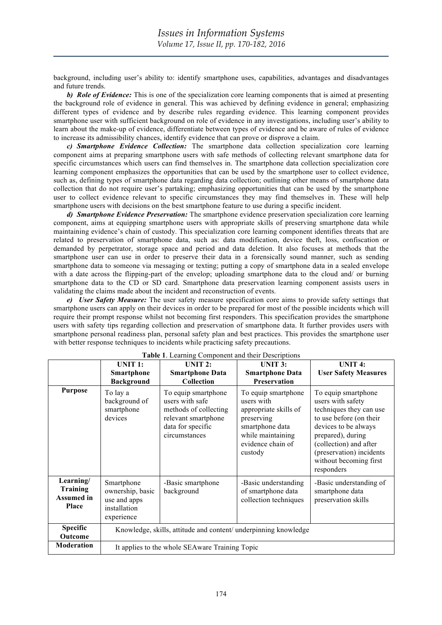background, including user's ability to: identify smartphone uses, capabilities, advantages and disadvantages and future trends.

*b) Role of Evidence:* This is one of the specialization core learning components that is aimed at presenting the background role of evidence in general. This was achieved by defining evidence in general; emphasizing different types of evidence and by describe rules regarding evidence. This learning component provides smartphone user with sufficient background on role of evidence in any investigations, including user's ability to learn about the make-up of evidence, differentiate between types of evidence and be aware of rules of evidence to increase its admissibility chances, identify evidence that can prove or disprove a claim.

*c) Smartphone Evidence Collection:* The smartphone data collection specialization core learning component aims at preparing smartphone users with safe methods of collecting relevant smartphone data for specific circumstances which users can find themselves in. The smartphone data collection specialization core learning component emphasizes the opportunities that can be used by the smartphone user to collect evidence, such as, defining types of smartphone data regarding data collection; outlining other means of smartphone data collection that do not require user's partaking; emphasizing opportunities that can be used by the smartphone user to collect evidence relevant to specific circumstances they may find themselves in. These will help smartphone users with decisions on the best smartphone feature to use during a specific incident.

*d) Smartphone Evidence Preservation:* The smartphone evidence preservation specialization core learning component, aims at equipping smartphone users with appropriate skills of preserving smartphone data while maintaining evidence's chain of custody. This specialization core learning component identifies threats that are related to preservation of smartphone data, such as: data modification, device theft, loss, confiscation or demanded by perpetrator, storage space and period and data deletion. It also focuses at methods that the smartphone user can use in order to preserve their data in a forensically sound manner, such as sending smartphone data to someone via messaging or texting; putting a copy of smartphone data in a sealed envelope with a date across the flipping-part of the envelop; uploading smartphone data to the cloud and/ or burning smartphone data to the CD or SD card. Smartphone data preservation learning component assists users in validating the claims made about the incident and reconstruction of events.

*e) User Safety Measure:* The user safety measure specification core aims to provide safety settings that smartphone users can apply on their devices in order to be prepared for most of the possible incidents which will require their prompt response whilst not becoming first responders. This specification provides the smartphone users with safety tips regarding collection and preservation of smartphone data. It further provides users with smartphone personal readiness plan, personal safety plan and best practices. This provides the smartphone user with better response techniques to incidents while practicing safety precautions.

|                                                     | ruone 1. Leanning component and men Besemptions<br><b>UNIT 4:</b><br>UNIT 2:<br><b>UNIT 3:</b><br>UNIT <sub>1</sub> : |                                                                                                                              |                                                                                                                                                  |                                                                                                                                                                                                                                           |  |  |
|-----------------------------------------------------|-----------------------------------------------------------------------------------------------------------------------|------------------------------------------------------------------------------------------------------------------------------|--------------------------------------------------------------------------------------------------------------------------------------------------|-------------------------------------------------------------------------------------------------------------------------------------------------------------------------------------------------------------------------------------------|--|--|
|                                                     | Smartphone                                                                                                            | <b>Smartphone Data</b>                                                                                                       | <b>Smartphone Data</b>                                                                                                                           | <b>User Safety Measures</b>                                                                                                                                                                                                               |  |  |
|                                                     | <b>Background</b>                                                                                                     | <b>Collection</b>                                                                                                            | <b>Preservation</b>                                                                                                                              |                                                                                                                                                                                                                                           |  |  |
| <b>Purpose</b>                                      | To lay a<br>background of<br>smartphone<br>devices                                                                    | To equip smartphone<br>users with safe<br>methods of collecting<br>relevant smartphone<br>data for specific<br>circumstances | To equip smartphone<br>users with<br>appropriate skills of<br>preserving<br>smartphone data<br>while maintaining<br>evidence chain of<br>custody | To equip smartphone<br>users with safety<br>techniques they can use<br>to use before (on their<br>devices to be always<br>prepared), during<br>(collection) and after<br>(preservation) incidents<br>without becoming first<br>responders |  |  |
| Learning/<br>Training<br><b>Assumed in</b><br>Place | Smartphone<br>ownership, basic<br>use and apps<br>installation<br>experience                                          | -Basic smartphone<br>background                                                                                              | -Basic understanding<br>of smartphone data<br>collection techniques                                                                              | -Basic understanding of<br>smartphone data<br>preservation skills                                                                                                                                                                         |  |  |
| <b>Specific</b><br>Outcome                          | Knowledge, skills, attitude and content/ underpinning knowledge                                                       |                                                                                                                              |                                                                                                                                                  |                                                                                                                                                                                                                                           |  |  |
| <b>Moderation</b>                                   | It applies to the whole SEA ware Training Topic                                                                       |                                                                                                                              |                                                                                                                                                  |                                                                                                                                                                                                                                           |  |  |

#### **Table 1**. Learning Component and their Descriptions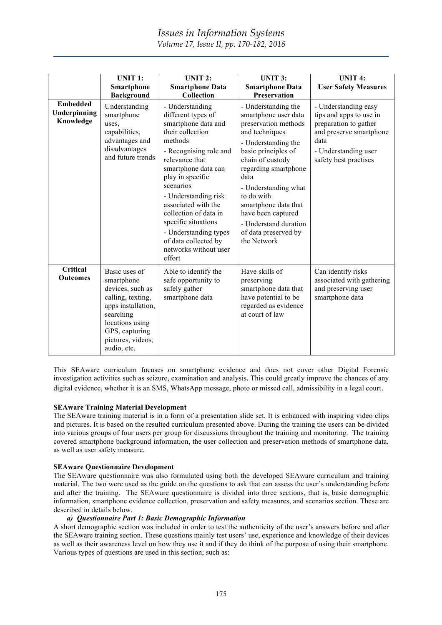|                                              | <b>UNIT 1:</b><br>Smartphone<br><b>Background</b>                                                                                                                                | <b>UNIT 2:</b><br><b>Smartphone Data</b><br>Collection                                                                                                                                                                                                                                                                                                                             | <b>UNIT 3:</b><br><b>Smartphone Data</b><br><b>Preservation</b>                                                                                                                                                                                                                                                                             | <b>UNIT 4:</b><br><b>User Safety Measures</b>                                                                                                                |
|----------------------------------------------|----------------------------------------------------------------------------------------------------------------------------------------------------------------------------------|------------------------------------------------------------------------------------------------------------------------------------------------------------------------------------------------------------------------------------------------------------------------------------------------------------------------------------------------------------------------------------|---------------------------------------------------------------------------------------------------------------------------------------------------------------------------------------------------------------------------------------------------------------------------------------------------------------------------------------------|--------------------------------------------------------------------------------------------------------------------------------------------------------------|
| <b>Embedded</b><br>Underpinning<br>Knowledge | Understanding<br>smartphone<br>uses.<br>capabilities,<br>advantages and<br>disadvantages<br>and future trends                                                                    | - Understanding<br>different types of<br>smartphone data and<br>their collection<br>methods<br>- Recognising role and<br>relevance that<br>smartphone data can<br>play in specific<br>scenarios<br>- Understanding risk<br>associated with the<br>collection of data in<br>specific situations<br>- Understanding types<br>of data collected by<br>networks without user<br>effort | - Understanding the<br>smartphone user data<br>preservation methods<br>and techniques<br>- Understanding the<br>basic principles of<br>chain of custody<br>regarding smartphone<br>data<br>- Understanding what<br>to do with<br>smartphone data that<br>have been captured<br>- Understand duration<br>of data preserved by<br>the Network | - Understanding easy<br>tips and apps to use in<br>preparation to gather<br>and preserve smartphone<br>data<br>- Understanding user<br>safety best practises |
| Critical<br><b>Outcomes</b>                  | Basic uses of<br>smartphone<br>devices, such as<br>calling, texting,<br>apps installation,<br>searching<br>locations using<br>GPS, capturing<br>pictures, videos,<br>audio, etc. | Able to identify the<br>safe opportunity to<br>safely gather<br>smartphone data                                                                                                                                                                                                                                                                                                    | Have skills of<br>preserving<br>smartphone data that<br>have potential to be<br>regarded as evidence<br>at court of law                                                                                                                                                                                                                     | Can identify risks<br>associated with gathering<br>and preserving user<br>smartphone data                                                                    |

This SEAware curriculum focuses on smartphone evidence and does not cover other Digital Forensic investigation activities such as seizure, examination and analysis. This could greatly improve the chances of any digital evidence, whether it is an SMS, WhatsApp message, photo or missed call, admissibility in a legal court.

# **SEAware Training Material Development**

The SEAware training material is in a form of a presentation slide set. It is enhanced with inspiring video clips and pictures. It is based on the resulted curriculum presented above. During the training the users can be divided into various groups of four users per group for discussions throughout the training and monitoring. The training covered smartphone background information, the user collection and preservation methods of smartphone data, as well as user safety measure.

## **SEAware Questionnaire Development**

The SEAware questionnaire was also formulated using both the developed SEAware curriculum and training material. The two were used as the guide on the questions to ask that can assess the user's understanding before and after the training. The SEAware questionnaire is divided into three sections, that is, basic demographic information, smartphone evidence collection, preservation and safety measures, and scenarios section. These are described in details below.

## *a) Questionnaire Part 1: Basic Demographic Information*

A short demographic section was included in order to test the authenticity of the user's answers before and after the SEAware training section. These questions mainly test users' use, experience and knowledge of their devices as well as their awareness level on how they use it and if they do think of the purpose of using their smartphone. Various types of questions are used in this section; such as: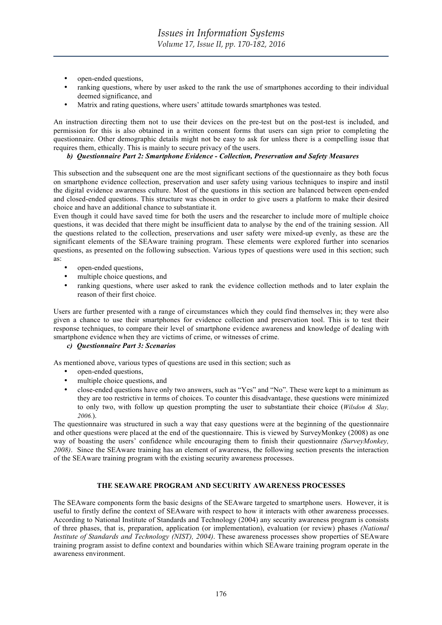- open-ended questions,
- ranking questions, where by user asked to the rank the use of smartphones according to their individual deemed significance, and
- Matrix and rating questions, where users' attitude towards smartphones was tested.

An instruction directing them not to use their devices on the pre-test but on the post-test is included, and permission for this is also obtained in a written consent forms that users can sign prior to completing the questionnaire. Other demographic details might not be easy to ask for unless there is a compelling issue that requires them, ethically. This is mainly to secure privacy of the users.

## *b) Questionnaire Part 2: Smartphone Evidence - Collection, Preservation and Safety Measures*

This subsection and the subsequent one are the most significant sections of the questionnaire as they both focus on smartphone evidence collection, preservation and user safety using various techniques to inspire and instil the digital evidence awareness culture. Most of the questions in this section are balanced between open-ended and closed-ended questions. This structure was chosen in order to give users a platform to make their desired choice and have an additional chance to substantiate it.

Even though it could have saved time for both the users and the researcher to include more of multiple choice questions, it was decided that there might be insufficient data to analyse by the end of the training session. All the questions related to the collection, preservations and user safety were mixed-up evenly, as these are the significant elements of the SEAware training program. These elements were explored further into scenarios questions, as presented on the following subsection. Various types of questions were used in this section; such as:

- open-ended questions,
- multiple choice questions, and
- ranking questions, where user asked to rank the evidence collection methods and to later explain the reason of their first choice.

Users are further presented with a range of circumstances which they could find themselves in; they were also given a chance to use their smartphones for evidence collection and preservation tool. This is to test their response techniques, to compare their level of smartphone evidence awareness and knowledge of dealing with smartphone evidence when they are victims of crime, or witnesses of crime.

## *c) Questionnaire Part 3: Scenarios*

As mentioned above, various types of questions are used in this section; such as

- open-ended questions,
- multiple choice questions, and
- close-ended questions have only two answers, such as "Yes" and "No". These were kept to a minimum as they are too restrictive in terms of choices. To counter this disadvantage, these questions were minimized to only two, with follow up question prompting the user to substantiate their choice (*Wilsdon & Slay, 2006.*).

The questionnaire was structured in such a way that easy questions were at the beginning of the questionnaire and other questions were placed at the end of the questionnaire. This is viewed by SurveyMonkey (2008) as one way of boasting the users' confidence while encouraging them to finish their questionnaire *(SurveyMonkey, 2008)*. Since the SEAware training has an element of awareness, the following section presents the interaction of the SEAware training program with the existing security awareness processes.

# **THE SEAWARE PROGRAM AND SECURITY AWARENESS PROCESSES**

The SEAware components form the basic designs of the SEAware targeted to smartphone users. However, it is useful to firstly define the context of SEAware with respect to how it interacts with other awareness processes. According to National Institute of Standards and Technology (2004) any security awareness program is consists of three phases, that is, preparation, application (or implementation), evaluation (or review) phases *(National Institute of Standards and Technology (NIST), 2004)*. These awareness processes show properties of SEAware training program assist to define context and boundaries within which SEAware training program operate in the awareness environment.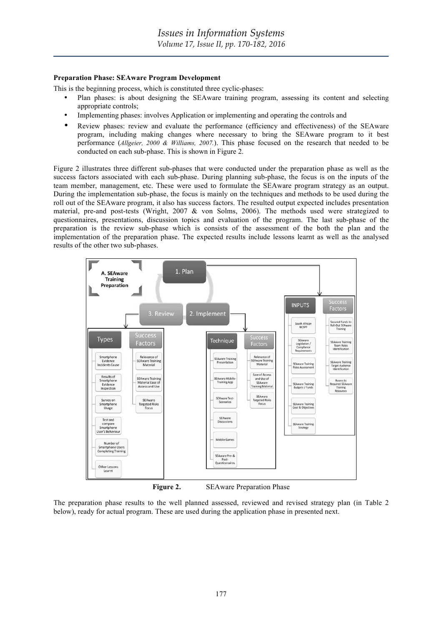## **Preparation Phase: SEAware Program Development**

This is the beginning process, which is constituted three cyclic-phases:

- Plan phases: is about designing the SEAware training program, assessing its content and selecting appropriate controls;
- Implementing phases: involves Application or implementing and operating the controls and
- Review phases: review and evaluate the performance (efficiency and effectiveness) of the SEAware program, including making changes where necessary to bring the SEAware program to it best performance (*Allgeier, 2000 & Williams, 2007.*). This phase focused on the research that needed to be conducted on each sub-phase. This is shown in Figure 2.

Figure 2 illustrates three different sub-phases that were conducted under the preparation phase as well as the success factors associated with each sub-phase. During planning sub-phase, the focus is on the inputs of the team member, management, etc. These were used to formulate the SEAware program strategy as an output. During the implementation sub-phase, the focus is mainly on the techniques and methods to be used during the roll out of the SEAware program, it also has success factors. The resulted output expected includes presentation material, pre-and post-tests (Wright, 2007 & von Solms, 2006). The methods used were strategized to questionnaires, presentations, discussion topics and evaluation of the program. The last sub-phase of the preparation is the review sub-phase which is consists of the assessment of the both the plan and the implementation of the preparation phase. The expected results include lessons learnt as well as the analysed results of the other two sub-phases.



**Figure 2.** SEAware Preparation Phase

The preparation phase results to the well planned assessed, reviewed and revised strategy plan (in Table 2 below), ready for actual program. These are used during the application phase in presented next.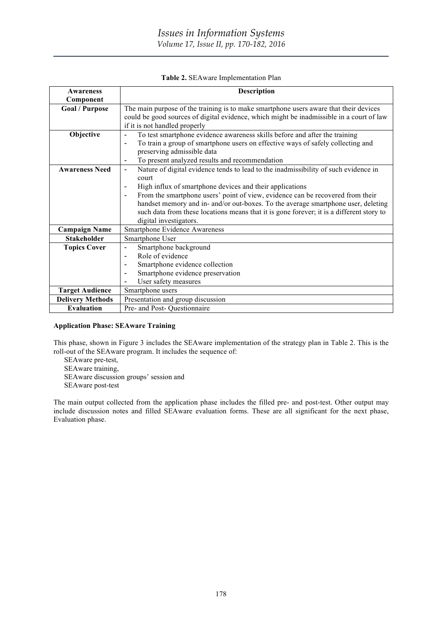| Table 2. SEAware Implementation Plan |  |  |
|--------------------------------------|--|--|
|                                      |  |  |

| Awareness               | <b>Description</b>                                                                                                                                                                                                                                                                                                                                                                                                                                                                                                  |  |
|-------------------------|---------------------------------------------------------------------------------------------------------------------------------------------------------------------------------------------------------------------------------------------------------------------------------------------------------------------------------------------------------------------------------------------------------------------------------------------------------------------------------------------------------------------|--|
| Component               |                                                                                                                                                                                                                                                                                                                                                                                                                                                                                                                     |  |
| <b>Goal / Purpose</b>   | The main purpose of the training is to make smartphone users aware that their devices<br>could be good sources of digital evidence, which might be inadmissible in a court of law<br>if it is not handled properly                                                                                                                                                                                                                                                                                                  |  |
| Objective               | To test smartphone evidence awareness skills before and after the training<br>$\blacksquare$<br>To train a group of smartphone users on effective ways of safely collecting and<br>٠<br>preserving admissible data<br>To present analyzed results and recommendation<br>$\overline{\phantom{0}}$                                                                                                                                                                                                                    |  |
| <b>Awareness Need</b>   | Nature of digital evidence tends to lead to the inadmissibility of such evidence in<br>$\overline{\phantom{a}}$<br>court<br>High influx of smartphone devices and their applications<br>Ē,<br>From the smartphone users' point of view, evidence can be recovered from their<br>$\overline{\phantom{a}}$<br>handset memory and in- and/or out-boxes. To the average smartphone user, deleting<br>such data from these locations means that it is gone forever; it is a different story to<br>digital investigators. |  |
| <b>Campaign Name</b>    | <b>Smartphone Evidence Awareness</b>                                                                                                                                                                                                                                                                                                                                                                                                                                                                                |  |
| <b>Stakeholder</b>      | Smartphone User                                                                                                                                                                                                                                                                                                                                                                                                                                                                                                     |  |
| <b>Topics Cover</b>     | Smartphone background<br>$\overline{\phantom{0}}$<br>Role of evidence<br>$\overline{\phantom{a}}$<br>Smartphone evidence collection<br>Smartphone evidence preservation<br>User safety measures<br>$\overline{a}$                                                                                                                                                                                                                                                                                                   |  |
| <b>Target Audience</b>  | Smartphone users                                                                                                                                                                                                                                                                                                                                                                                                                                                                                                    |  |
| <b>Delivery Methods</b> | Presentation and group discussion                                                                                                                                                                                                                                                                                                                                                                                                                                                                                   |  |
| <b>Evaluation</b>       | Pre- and Post- Questionnaire                                                                                                                                                                                                                                                                                                                                                                                                                                                                                        |  |

## **Application Phase: SEAware Training**

This phase, shown in Figure 3 includes the SEAware implementation of the strategy plan in Table 2. This is the roll-out of the SEAware program. It includes the sequence of:

SEAware pre-test, SEAware training, SEAware discussion groups' session and

SEAware post-test

The main output collected from the application phase includes the filled pre- and post-test. Other output may include discussion notes and filled SEAware evaluation forms. These are all significant for the next phase, Evaluation phase.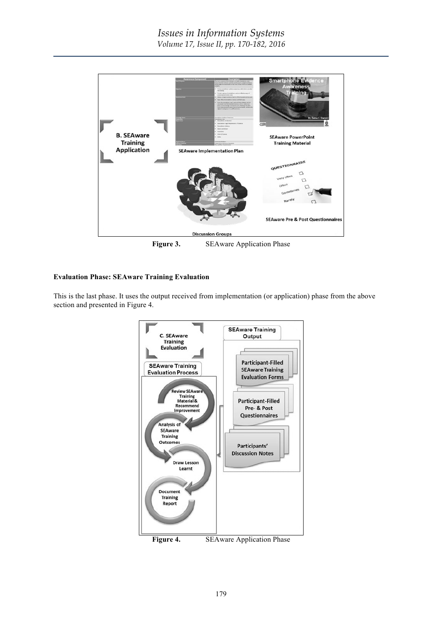

Figure 3. SEAware Application Phase

# **Evaluation Phase: SEAware Training Evaluation**

This is the last phase. It uses the output received from implementation (or application) phase from the above section and presented in Figure 4.

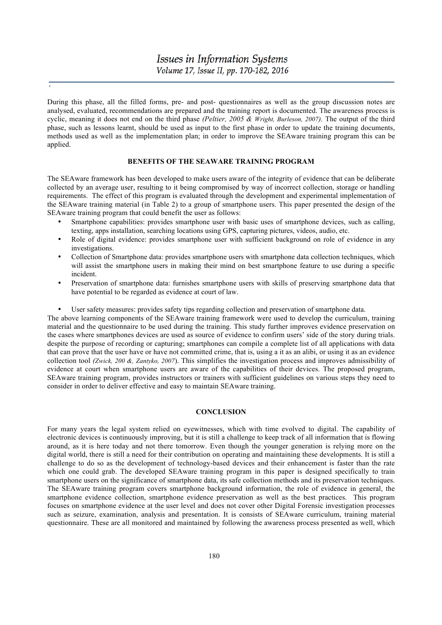During this phase, all the filled forms, pre- and post- questionnaires as well as the group discussion notes are analysed, evaluated, recommendations are prepared and the training report is documented. The awareness process is cyclic, meaning it does not end on the third phase *(Peltier, 2005 & Wright, Burleson, 2007).* The output of the third phase, such as lessons learnt, should be used as input to the first phase in order to update the training documents, methods used as well as the implementation plan; in order to improve the SEAware training program this can be applied.

## **BENEFITS OF THE SEAWARE TRAINING PROGRAM**

The SEAware framework has been developed to make users aware of the integrity of evidence that can be deliberate collected by an average user, resulting to it being compromised by way of incorrect collection, storage or handling requirements. The effect of this program is evaluated through the development and experimental implementation of the SEAware training material (in Table 2) to a group of smartphone users. This paper presented the design of the SEAware training program that could benefit the user as follows:

- Smartphone capabilities: provides smartphone user with basic uses of smartphone devices, such as calling, texting, apps installation, searching locations using GPS, capturing pictures, videos, audio, etc.
- Role of digital evidence: provides smartphone user with sufficient background on role of evidence in any investigations.
- Collection of Smartphone data: provides smartphone users with smartphone data collection techniques, which will assist the smartphone users in making their mind on best smartphone feature to use during a specific incident.
- Preservation of smartphone data: furnishes smartphone users with skills of preserving smartphone data that have potential to be regarded as evidence at court of law.
- User safety measures: provides safety tips regarding collection and preservation of smartphone data.

The above learning components of the SEAware training framework were used to develop the curriculum, training material and the questionnaire to be used during the training. This study further improves evidence preservation on the cases where smartphones devices are used as source of evidence to confirm users' side of the story during trials. despite the purpose of recording or capturing; smartphones can compile a complete list of all applications with data that can prove that the user have or have not committed crime, that is, using a it as an alibi, or using it as an evidence collection tool *(Zwick, 200 &, Zantyko, 2007*). This simplifies the investigation process and improves admissibility of evidence at court when smartphone users are aware of the capabilities of their devices. The proposed program, SEAware training program, provides instructors or trainers with sufficient guidelines on various steps they need to consider in order to deliver effective and easy to maintain SEAware training.

#### **CONCLUSION**

For many years the legal system relied on eyewitnesses, which with time evolved to digital. The capability of electronic devices is continuously improving, but it is still a challenge to keep track of all information that is flowing around, as it is here today and not there tomorrow. Even though the younger generation is relying more on the digital world, there is still a need for their contribution on operating and maintaining these developments. It is still a challenge to do so as the development of technology-based devices and their enhancement is faster than the rate which one could grab. The developed SEAware training program in this paper is designed specifically to train smartphone users on the significance of smartphone data, its safe collection methods and its preservation techniques. The SEAware training program covers smartphone background information, the role of evidence in general, the smartphone evidence collection, smartphone evidence preservation as well as the best practices. This program focuses on smartphone evidence at the user level and does not cover other Digital Forensic investigation processes such as seizure, examination, analysis and presentation. It is consists of SEAware curriculum, training material questionnaire. These are all monitored and maintained by following the awareness process presented as well, which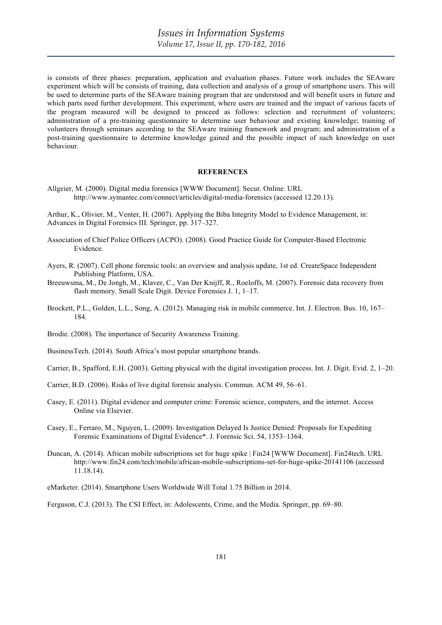is consists of three phases: preparation, application and evaluation phases. Future work includes the SEAware experiment which will be consists of training, data collection and analysis of a group of smartphone users. This will be used to determine parts of the SEAware training program that are understood and will benefit users in future and which parts need further development. This experiment, where users are trained and the impact of various facets of the program measured will be designed to proceed as follows: selection and recruitment of volunteers; administration of a pre-training questionnaire to determine user behaviour and existing knowledge; training of volunteers through seminars according to the SEAware training framework and program; and administration of a post-training questionnaire to determine knowledge gained and the possible impact of such knowledge on user behaviour.

#### **REFERENCES**

Allgeier, M. (2000). Digital media forensics [WWW Document]. Secur. Online. URL http://www.symantec.com/connect/articles/digital-media-forensics (accessed 12.20.13).

Arthur, K., Olivier, M., Venter, H. (2007). Applying the Biba Integrity Model to Evidence Management, in: Advances in Digital Forensics III. Springer, pp. 317–327.

- Association of Chief Police Officers (ACPO). (2008). Good Practice Guide for Computer-Based Electronic Evidence.
- Ayers, R. (2007). Cell phone forensic tools: an overview and analysis update, 1st ed. CreateSpace Independent Publishing Platform, USA.
- Breeuwsma, M., De Jongh, M., Klaver, C., Van Der Knijff, R., Roeloffs, M. (2007). Forensic data recovery from flash memory. Small Scale Digit. Device Forensics J. 1, 1–17.
- Brockett, P.L., Golden, L.L., Song, A. (2012). Managing risk in mobile commerce. Int. J. Electron. Bus. 10, 167– 184.
- Brodie. (2008). The importance of Security Awareness Training.

BusinessTech. (2014). South Africa's most popular smartphone brands.

Carrier, B., Spafford, E.H. (2003). Getting physical with the digital investigation process. Int. J. Digit. Evid. 2, 1–20.

- Carrier, B.D. (2006). Risks of live digital forensic analysis. Commun. ACM 49, 56–61.
- Casey, E. (2011). Digital evidence and computer crime: Forensic science, computers, and the internet. Access Online via Elsevier.
- Casey, E., Ferraro, M., Nguyen, L. (2009). Investigation Delayed Is Justice Denied: Proposals for Expediting Forensic Examinations of Digital Evidence\*. J. Forensic Sci. 54, 1353–1364.
- Duncan, A. (2014). African mobile subscriptions set for huge spike | Fin24 [WWW Document]. Fin24tech. URL http://www.fin24.com/tech/mobile/african-mobile-subscriptions-set-for-huge-spike-20141106 (accessed 11.18.14).

eMarketer. (2014). Smartphone Users Worldwide Will Total 1.75 Billion in 2014.

Ferguson, C.J. (2013). The CSI Effect, in: Adolescents, Crime, and the Media. Springer, pp. 69–80.